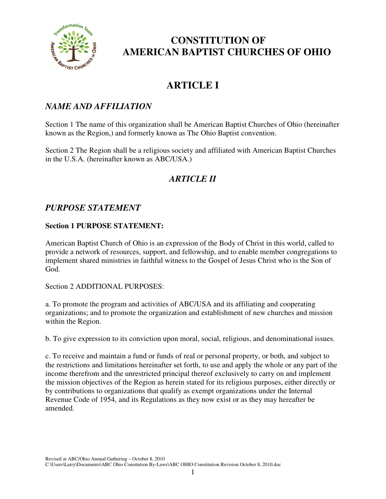

# **ARTICLE I**

#### *NAME AND AFFILIATION*

Section 1 The name of this organization shall be American Baptist Churches of Ohio (hereinafter known as the Region,) and formerly known as The Ohio Baptist convention.

Section 2 The Region shall be a religious society and affiliated with American Baptist Churches in the U.S.A. (hereinafter known as ABC/USA.)

## *ARTICLE II*

#### *PURPOSE STATEMENT*

#### **Section 1 PURPOSE STATEMENT:**

American Baptist Church of Ohio is an expression of the Body of Christ in this world, called to provide a network of resources, support, and fellowship, and to enable member congregations to implement shared ministries in faithful witness to the Gospel of Jesus Christ who is the Son of God.

Section 2 ADDITIONAL PURPOSES:

a. To promote the program and activities of ABC/USA and its affiliating and cooperating organizations; and to promote the organization and establishment of new churches and mission within the Region.

b. To give expression to its conviction upon moral, social, religious, and denominational issues.

c. To receive and maintain a fund or funds of real or personal property, or both, and subject to the restrictions and limitations hereinafter set forth, to use and apply the whole or any part of the income therefrom and the unrestricted principal thereof exclusively to carry on and implement the mission objectives of the Region as herein stated for its religious purposes, either directly or by contributions to organizations that qualify as exempt organizations under the Internal Revenue Code of 1954, and its Regulations as they now exist or as they may hereafter be amended.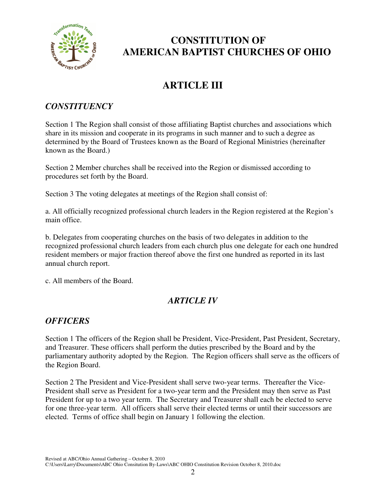

# **ARTICLE III**

#### *CONSTITUENCY*

Section 1 The Region shall consist of those affiliating Baptist churches and associations which share in its mission and cooperate in its programs in such manner and to such a degree as determined by the Board of Trustees known as the Board of Regional Ministries (hereinafter known as the Board.)

Section 2 Member churches shall be received into the Region or dismissed according to procedures set forth by the Board.

Section 3 The voting delegates at meetings of the Region shall consist of:

a. All officially recognized professional church leaders in the Region registered at the Region's main office.

b. Delegates from cooperating churches on the basis of two delegates in addition to the recognized professional church leaders from each church plus one delegate for each one hundred resident members or major fraction thereof above the first one hundred as reported in its last annual church report.

c. All members of the Board.

## *ARTICLE IV*

## *OFFICERS*

Section 1 The officers of the Region shall be President, Vice-President, Past President, Secretary, and Treasurer. These officers shall perform the duties prescribed by the Board and by the parliamentary authority adopted by the Region. The Region officers shall serve as the officers of the Region Board.

Section 2 The President and Vice-President shall serve two-year terms. Thereafter the Vice-President shall serve as President for a two-year term and the President may then serve as Past President for up to a two year term. The Secretary and Treasurer shall each be elected to serve for one three-year term. All officers shall serve their elected terms or until their successors are elected. Terms of office shall begin on January 1 following the election.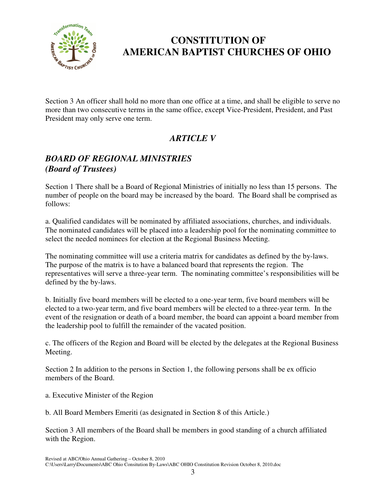

Section 3 An officer shall hold no more than one office at a time, and shall be eligible to serve no more than two consecutive terms in the same office, except Vice-President, President, and Past President may only serve one term.

## *ARTICLE V*

### *BOARD OF REGIONAL MINISTRIES (Board of Trustees)*

Section 1 There shall be a Board of Regional Ministries of initially no less than 15 persons. The number of people on the board may be increased by the board. The Board shall be comprised as follows:

a. Qualified candidates will be nominated by affiliated associations, churches, and individuals. The nominated candidates will be placed into a leadership pool for the nominating committee to select the needed nominees for election at the Regional Business Meeting.

The nominating committee will use a criteria matrix for candidates as defined by the by-laws. The purpose of the matrix is to have a balanced board that represents the region. The representatives will serve a three-year term. The nominating committee's responsibilities will be defined by the by-laws.

b. Initially five board members will be elected to a one-year term, five board members will be elected to a two-year term, and five board members will be elected to a three-year term. In the event of the resignation or death of a board member, the board can appoint a board member from the leadership pool to fulfill the remainder of the vacated position.

c. The officers of the Region and Board will be elected by the delegates at the Regional Business Meeting.

Section 2 In addition to the persons in Section 1, the following persons shall be ex officio members of the Board.

- a. Executive Minister of the Region
- b. All Board Members Emeriti (as designated in Section 8 of this Article.)

Section 3 All members of the Board shall be members in good standing of a church affiliated with the Region.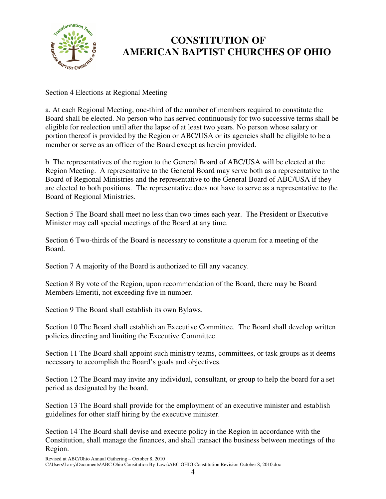

Section 4 Elections at Regional Meeting

a. At each Regional Meeting, one-third of the number of members required to constitute the Board shall be elected. No person who has served continuously for two successive terms shall be eligible for reelection until after the lapse of at least two years. No person whose salary or portion thereof is provided by the Region or ABC/USA or its agencies shall be eligible to be a member or serve as an officer of the Board except as herein provided.

b. The representatives of the region to the General Board of ABC/USA will be elected at the Region Meeting. A representative to the General Board may serve both as a representative to the Board of Regional Ministries and the representative to the General Board of ABC/USA if they are elected to both positions. The representative does not have to serve as a representative to the Board of Regional Ministries.

Section 5 The Board shall meet no less than two times each year. The President or Executive Minister may call special meetings of the Board at any time.

Section 6 Two-thirds of the Board is necessary to constitute a quorum for a meeting of the Board.

Section 7 A majority of the Board is authorized to fill any vacancy.

Section 8 By vote of the Region, upon recommendation of the Board, there may be Board Members Emeriti, not exceeding five in number.

Section 9 The Board shall establish its own Bylaws.

Section 10 The Board shall establish an Executive Committee. The Board shall develop written policies directing and limiting the Executive Committee.

Section 11 The Board shall appoint such ministry teams, committees, or task groups as it deems necessary to accomplish the Board's goals and objectives.

Section 12 The Board may invite any individual, consultant, or group to help the board for a set period as designated by the board.

Section 13 The Board shall provide for the employment of an executive minister and establish guidelines for other staff hiring by the executive minister.

Section 14 The Board shall devise and execute policy in the Region in accordance with the Constitution, shall manage the finances, and shall transact the business between meetings of the Region.

Revised at ABC/Ohio Annual Gathering – October 8, 2010 C:\Users\Larry\Documents\ABC Ohio Consitution By-Laws\ABC OHIO Constitution Revision October 8, 2010.doc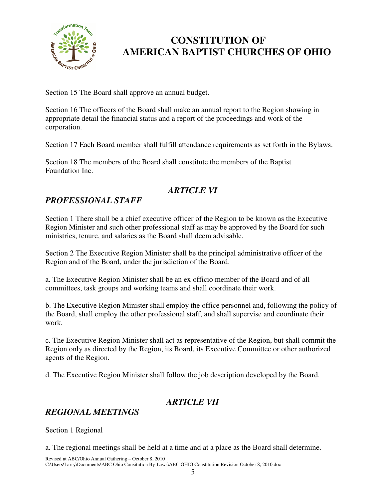

Section 15 The Board shall approve an annual budget.

Section 16 The officers of the Board shall make an annual report to the Region showing in appropriate detail the financial status and a report of the proceedings and work of the corporation.

Section 17 Each Board member shall fulfill attendance requirements as set forth in the Bylaws.

Section 18 The members of the Board shall constitute the members of the Baptist Foundation Inc.

## *ARTICLE VI*

### *PROFESSIONAL STAFF*

Section 1 There shall be a chief executive officer of the Region to be known as the Executive Region Minister and such other professional staff as may be approved by the Board for such ministries, tenure, and salaries as the Board shall deem advisable.

Section 2 The Executive Region Minister shall be the principal administrative officer of the Region and of the Board, under the jurisdiction of the Board.

a. The Executive Region Minister shall be an ex officio member of the Board and of all committees, task groups and working teams and shall coordinate their work.

b. The Executive Region Minister shall employ the office personnel and, following the policy of the Board, shall employ the other professional staff, and shall supervise and coordinate their work.

c. The Executive Region Minister shall act as representative of the Region, but shall commit the Region only as directed by the Region, its Board, its Executive Committee or other authorized agents of the Region.

d. The Executive Region Minister shall follow the job description developed by the Board.

#### *ARTICLE VII*

#### *REGIONAL MEETINGS*

Section 1 Regional

a. The regional meetings shall be held at a time and at a place as the Board shall determine.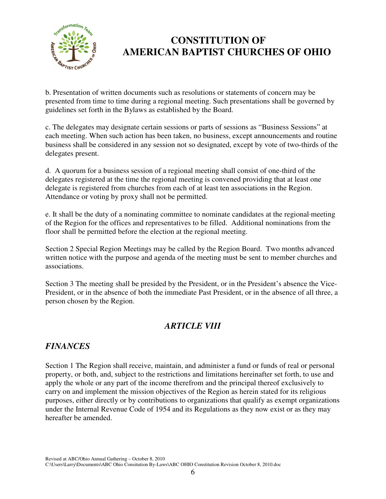

b. Presentation of written documents such as resolutions or statements of concern may be presented from time to time during a regional meeting. Such presentations shall be governed by guidelines set forth in the Bylaws as established by the Board.

c. The delegates may designate certain sessions or parts of sessions as "Business Sessions" at each meeting. When such action has been taken, no business, except announcements and routine business shall be considered in any session not so designated, except by vote of two-thirds of the delegates present.

d. A quorum for a business session of a regional meeting shall consist of one-third of the delegates registered at the time the regional meeting is convened providing that at least one delegate is registered from churches from each of at least ten associations in the Region. Attendance or voting by proxy shall not be permitted.

e. It shall be the duty of a nominating committee to nominate candidates at the regional meeting of the Region for the offices and representatives to be filled. Additional nominations from the floor shall be permitted before the election at the regional meeting.

Section 2 Special Region Meetings may be called by the Region Board. Two months advanced written notice with the purpose and agenda of the meeting must be sent to member churches and associations.

Section 3 The meeting shall be presided by the President, or in the President's absence the Vice-President, or in the absence of both the immediate Past President, or in the absence of all three, a person chosen by the Region.

## *ARTICLE VIII*

## *FINANCES*

Section 1 The Region shall receive, maintain, and administer a fund or funds of real or personal property, or both, and, subject to the restrictions and limitations hereinafter set forth, to use and apply the whole or any part of the income therefrom and the principal thereof exclusively to carry on and implement the mission objectives of the Region as herein stated for its religious purposes, either directly or by contributions to organizations that qualify as exempt organizations under the Internal Revenue Code of 1954 and its Regulations as they now exist or as they may hereafter be amended.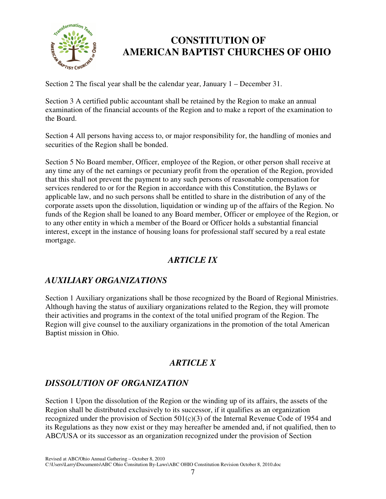

Section 2 The fiscal year shall be the calendar year, January 1 – December 31.

Section 3 A certified public accountant shall be retained by the Region to make an annual examination of the financial accounts of the Region and to make a report of the examination to the Board.

Section 4 All persons having access to, or major responsibility for, the handling of monies and securities of the Region shall be bonded.

Section 5 No Board member, Officer, employee of the Region, or other person shall receive at any time any of the net earnings or pecuniary profit from the operation of the Region, provided that this shall not prevent the payment to any such persons of reasonable compensation for services rendered to or for the Region in accordance with this Constitution, the Bylaws or applicable law, and no such persons shall be entitled to share in the distribution of any of the corporate assets upon the dissolution, liquidation or winding up of the affairs of the Region. No funds of the Region shall be loaned to any Board member, Officer or employee of the Region, or to any other entity in which a member of the Board or Officer holds a substantial financial interest, except in the instance of housing loans for professional staff secured by a real estate mortgage.

## *ARTICLE IX*

## *AUXILIARY ORGANIZATIONS*

Section 1 Auxiliary organizations shall be those recognized by the Board of Regional Ministries. Although having the status of auxiliary organizations related to the Region, they will promote their activities and programs in the context of the total unified program of the Region. The Region will give counsel to the auxiliary organizations in the promotion of the total American Baptist mission in Ohio.

## *ARTICLE X*

## *DISSOLUTION OF ORGANIZATION*

Section 1 Upon the dissolution of the Region or the winding up of its affairs, the assets of the Region shall be distributed exclusively to its successor, if it qualifies as an organization recognized under the provision of Section  $501(c)(3)$  of the Internal Revenue Code of 1954 and its Regulations as they now exist or they may hereafter be amended and, if not qualified, then to ABC/USA or its successor as an organization recognized under the provision of Section